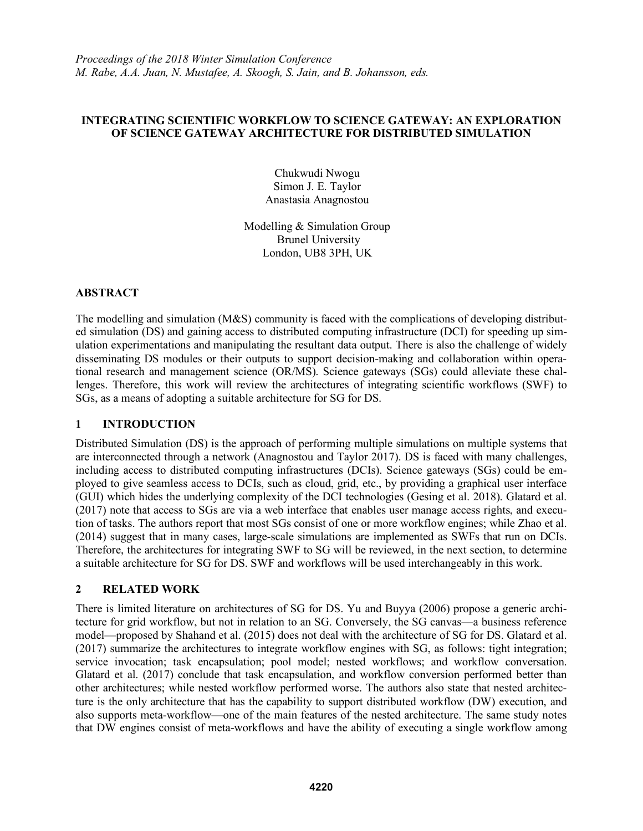### **INTEGRATING SCIENTIFIC WORKFLOW TO SCIENCE GATEWAY: AN EXPLORATION OF SCIENCE GATEWAY ARCHITECTURE FOR DISTRIBUTED SIMULATION**

Chukwudi Nwogu Simon J. E. Taylor Anastasia Anagnostou

Modelling & Simulation Group Brunel University London, UB8 3PH, UK

### **ABSTRACT**

The modelling and simulation (M&S) community is faced with the complications of developing distributed simulation (DS) and gaining access to distributed computing infrastructure (DCI) for speeding up simulation experimentations and manipulating the resultant data output. There is also the challenge of widely disseminating DS modules or their outputs to support decision-making and collaboration within operational research and management science (OR/MS). Science gateways (SGs) could alleviate these challenges. Therefore, this work will review the architectures of integrating scientific workflows (SWF) to SGs, as a means of adopting a suitable architecture for SG for DS.

# **1 INTRODUCTION**

Distributed Simulation (DS) is the approach of performing multiple simulations on multiple systems that are interconnected through a network (Anagnostou and Taylor 2017). DS is faced with many challenges, including access to distributed computing infrastructures (DCIs). Science gateways (SGs) could be employed to give seamless access to DCIs, such as cloud, grid, etc., by providing a graphical user interface (GUI) which hides the underlying complexity of the DCI technologies (Gesing et al. 2018). Glatard et al. (2017) note that access to SGs are via a web interface that enables user manage access rights, and execution of tasks. The authors report that most SGs consist of one or more workflow engines; while Zhao et al. (2014) suggest that in many cases, large-scale simulations are implemented as SWFs that run on DCIs. Therefore, the architectures for integrating SWF to SG will be reviewed, in the next section, to determine a suitable architecture for SG for DS. SWF and workflows will be used interchangeably in this work.

# **2 RELATED WORK**

There is limited literature on architectures of SG for DS. Yu and Buyya (2006) propose a generic architecture for grid workflow, but not in relation to an SG. Conversely, the SG canvas—a business reference model—proposed by Shahand et al. (2015) does not deal with the architecture of SG for DS. Glatard et al. (2017) summarize the architectures to integrate workflow engines with SG, as follows: tight integration; service invocation; task encapsulation; pool model; nested workflows; and workflow conversation. Glatard et al. (2017) conclude that task encapsulation, and workflow conversion performed better than other architectures; while nested workflow performed worse. The authors also state that nested architecture is the only architecture that has the capability to support distributed workflow (DW) execution, and also supports meta-workflow—one of the main features of the nested architecture. The same study notes that DW engines consist of meta-workflows and have the ability of executing a single workflow among